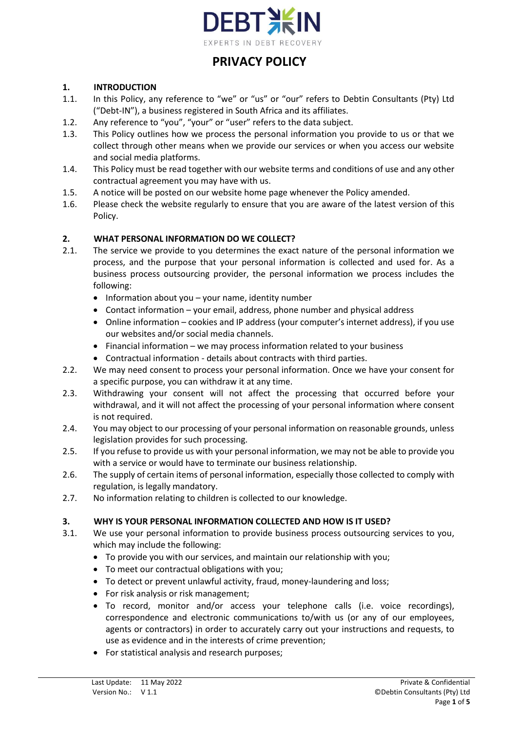

#### **1. INTRODUCTION**

- 1.1. In this Policy, any reference to "we" or "us" or "our" refers to Debtin Consultants (Pty) Ltd ("Debt-IN"), a business registered in South Africa and its affiliates.
- 1.2. Any reference to "you", "your" or "user" refers to the data subject.
- 1.3. This Policy outlines how we process the personal information you provide to us or that we collect through other means when we provide our services or when you access our website and social media platforms.
- 1.4. This Policy must be read together with our website terms and conditions of use and any other contractual agreement you may have with us.
- 1.5. A notice will be posted on our website home page whenever the Policy amended.
- 1.6. Please check the website regularly to ensure that you are aware of the latest version of this Policy.

## **2. WHAT PERSONAL INFORMATION DO WE COLLECT?**

- 2.1. The service we provide to you determines the exact nature of the personal information we process, and the purpose that your personal information is collected and used for. As a business process outsourcing provider, the personal information we process includes the following:
	- Information about you your name, identity number
	- Contact information your email, address, phone number and physical address
	- Online information cookies and IP address (your computer's internet address), if you use our websites and/or social media channels.
	- Financial information we may process information related to your business
	- Contractual information details about contracts with third parties.
- 2.2. We may need consent to process your personal information. Once we have your consent for a specific purpose, you can withdraw it at any time.
- 2.3. Withdrawing your consent will not affect the processing that occurred before your withdrawal, and it will not affect the processing of your personal information where consent is not required.
- 2.4. You may object to our processing of your personal information on reasonable grounds, unless legislation provides for such processing.
- 2.5. If you refuse to provide us with your personal information, we may not be able to provide you with a service or would have to terminate our business relationship.
- 2.6. The supply of certain items of personal information, especially those collected to comply with regulation, is legally mandatory.
- 2.7. No information relating to children is collected to our knowledge.

## **3. WHY IS YOUR PERSONAL INFORMATION COLLECTED AND HOW IS IT USED?**

- 3.1. We use your personal information to provide business process outsourcing services to you, which may include the following:
	- To provide you with our services, and maintain our relationship with you;
	- To meet our contractual obligations with you;
	- To detect or prevent unlawful activity, fraud, money-laundering and loss;
	- For risk analysis or risk management;
	- To record, monitor and/or access your telephone calls (i.e. voice recordings), correspondence and electronic communications to/with us (or any of our employees, agents or contractors) in order to accurately carry out your instructions and requests, to use as evidence and in the interests of crime prevention;
	- For statistical analysis and research purposes;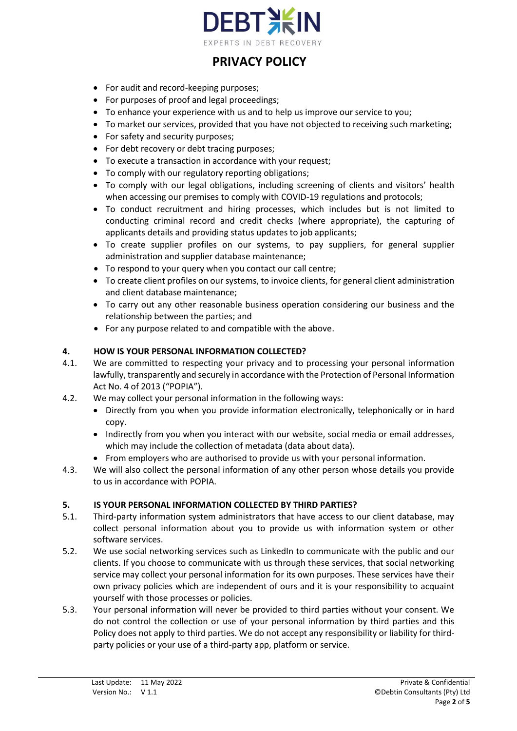

- For audit and record-keeping purposes;
- For purposes of proof and legal proceedings;
- To enhance your experience with us and to help us improve our service to you;
- To market our services, provided that you have not objected to receiving such marketing;
- For safety and security purposes;
- For debt recovery or debt tracing purposes;
- To execute a transaction in accordance with your request;
- To comply with our regulatory reporting obligations;
- To comply with our legal obligations, including screening of clients and visitors' health when accessing our premises to comply with COVID-19 regulations and protocols;
- To conduct recruitment and hiring processes, which includes but is not limited to conducting criminal record and credit checks (where appropriate), the capturing of applicants details and providing status updates to job applicants;
- To create supplier profiles on our systems, to pay suppliers, for general supplier administration and supplier database maintenance;
- To respond to your query when you contact our call centre;
- To create client profiles on our systems, to invoice clients, for general client administration and client database maintenance;
- To carry out any other reasonable business operation considering our business and the relationship between the parties; and
- For any purpose related to and compatible with the above.

## **4. HOW IS YOUR PERSONAL INFORMATION COLLECTED?**

- 4.1. We are committed to respecting your privacy and to processing your personal information lawfully, transparently and securely in accordance with the Protection of Personal Information Act No. 4 of 2013 ("POPIA").
- 4.2. We may collect your personal information in the following ways:
	- Directly from you when you provide information electronically, telephonically or in hard copy.
	- Indirectly from you when you interact with our website, social media or email addresses, which may include the collection of metadata (data about data).
	- From employers who are authorised to provide us with your personal information.
- 4.3. We will also collect the personal information of any other person whose details you provide to us in accordance with POPIA.

## **5. IS YOUR PERSONAL INFORMATION COLLECTED BY THIRD PARTIES?**

- 5.1. Third-party information system administrators that have access to our client database, may collect personal information about you to provide us with information system or other software services.
- 5.2. We use social networking services such as LinkedIn to communicate with the public and our clients. If you choose to communicate with us through these services, that social networking service may collect your personal information for its own purposes. These services have their own privacy policies which are independent of ours and it is your responsibility to acquaint yourself with those processes or policies.
- 5.3. Your personal information will never be provided to third parties without your consent. We do not control the collection or use of your personal information by third parties and this Policy does not apply to third parties. We do not accept any responsibility or liability for thirdparty policies or your use of a third-party app, platform or service.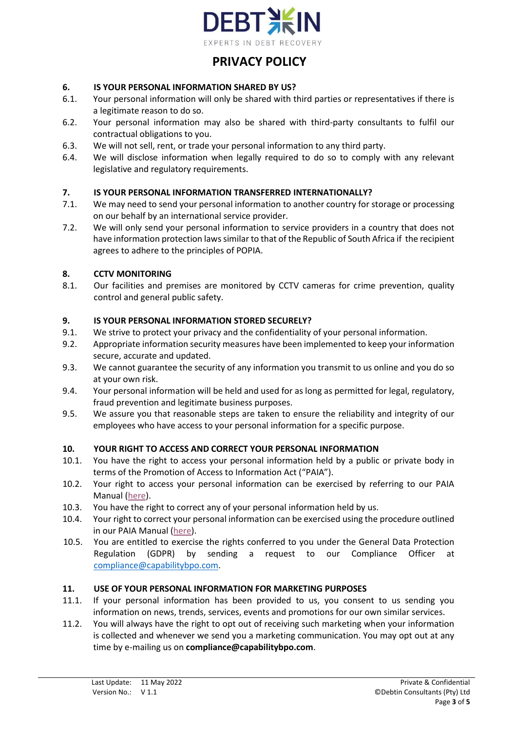

## **6. IS YOUR PERSONAL INFORMATION SHARED BY US?**

- 6.1. Your personal information will only be shared with third parties or representatives if there is a legitimate reason to do so.
- 6.2. Your personal information may also be shared with third-party consultants to fulfil our contractual obligations to you.
- 6.3. We will not sell, rent, or trade your personal information to any third party.
- 6.4. We will disclose information when legally required to do so to comply with any relevant legislative and regulatory requirements.

## **7. IS YOUR PERSONAL INFORMATION TRANSFERRED INTERNATIONALLY?**

- 7.1. We may need to send your personal information to another country for storage or processing on our behalf by an international service provider.
- 7.2. We will only send your personal information to service providers in a country that does not have information protection laws similar to that of the Republic of South Africa if the recipient agrees to adhere to the principles of POPIA.

## **8. CCTV MONITORING**

8.1. Our facilities and premises are monitored by CCTV cameras for crime prevention, quality control and general public safety.

## **9. IS YOUR PERSONAL INFORMATION STORED SECURELY?**

- 9.1. We strive to protect your privacy and the confidentiality of your personal information.
- 9.2. Appropriate information security measures have been implemented to keep your information secure, accurate and updated.
- 9.3. We cannot guarantee the security of any information you transmit to us online and you do so at your own risk.
- 9.4. Your personal information will be held and used for as long as permitted for legal, regulatory, fraud prevention and legitimate business purposes.
- 9.5. We assure you that reasonable steps are taken to ensure the reliability and integrity of our employees who have access to your personal information for a specific purpose.

## **10. YOUR RIGHT TO ACCESS AND CORRECT YOUR PERSONAL INFORMATION**

- 10.1. You have the right to access your personal information held by a public or private body in terms of the Promotion of Access to Information Act ("PAIA").
- 10.2. Your right to access your personal information can be exercised by referring to our PAIA Manual [\(here\)](https://www.debt-in.co.za/policies/DEBTIN%20PAIA%20Manual%20v1.1%2011.05.2022.pdf).
- 10.3. You have the right to correct any of your personal information held by us.
- 10.4. Your right to correct your personal information can be exercised using the procedure outlined in our PAIA Manual [\(here\)](https://www.debt-in.co.za/policies/DEBTIN%20PAIA%20Manual%20v1.1%2011.05.2022.pdf).
- 10.5. You are entitled to exercise the rights conferred to you under the General Data Protection Regulation (GDPR) by sending a request to our Compliance Officer at [compliance@capabilitybpo.com.](mailto:compliance@capabilitybpo.com)

## **11. USE OF YOUR PERSONAL INFORMATION FOR MARKETING PURPOSES**

- 11.1. If your personal information has been provided to us, you consent to us sending you information on news, trends, services, events and promotions for our own similar services.
- 11.2. You will always have the right to opt out of receiving such marketing when your information is collected and whenever we send you a marketing communication. You may opt out at any time by e-mailing us on **[compliance@capabilitybpo.com](mailto:compliance@capabilitybpo.com)**.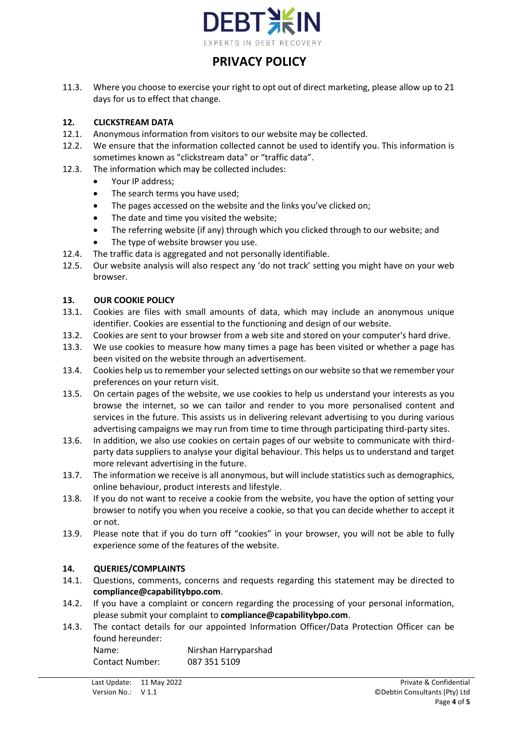

11.3. Where you choose to exercise your right to opt out of direct marketing, please allow up to 21 days for us to effect that change.

## **12. CLICKSTREAM DATA**

- 12.1. Anonymous information from visitors to our website may be collected.
- 12.2. We ensure that the information collected cannot be used to identify you. This information is sometimes known as "clickstream data" or "traffic data".
- 12.3. The information which may be collected includes:
	- Your IP address;
	- The search terms you have used;
	- The pages accessed on the website and the links you've clicked on;
	- The date and time you visited the website;
	- The referring website (if any) through which you clicked through to our website; and
	- The type of website browser you use.
- 12.4. The traffic data is aggregated and not personally identifiable.
- 12.5. Our website analysis will also respect any 'do not track' setting you might have on your web browser.

## **13. OUR COOKIE POLICY**

- 13.1. Cookies are files with small amounts of data, which may include an anonymous unique identifier. Cookies are essential to the functioning and design of our website.
- 13.2. Cookies are sent to your browser from a web site and stored on your computer's hard drive.
- 13.3. We use cookies to measure how many times a page has been visited or whether a page has been visited on the website through an advertisement.
- 13.4. Cookies help us to remember your selected settings on our website so that we remember your preferences on your return visit.
- 13.5. On certain pages of the website, we use cookies to help us understand your interests as you browse the internet, so we can tailor and render to you more personalised content and services in the future. This assists us in delivering relevant advertising to you during various advertising campaigns we may run from time to time through participating third-party sites.
- 13.6. In addition, we also use cookies on certain pages of our website to communicate with thirdparty data suppliers to analyse your digital behaviour. This helps us to understand and target more relevant advertising in the future.
- 13.7. The information we receive is all anonymous, but will include statistics such as demographics, online behaviour, product interests and lifestyle.
- 13.8. If you do not want to receive a cookie from the website, you have the option of setting your browser to notify you when you receive a cookie, so that you can decide whether to accept it or not.
- 13.9. Please note that if you do turn off "cookies" in your browser, you will not be able to fully experience some of the features of the website.

## **14. QUERIES/COMPLAINTS**

- 14.1. Questions, comments, concerns and requests regarding this statement may be directed to **[compliance@capabilitybpo.com](mailto:compliance@capabilitybpo.com)**.
- 14.2. If you have a complaint or concern regarding the processing of your personal information, please submit your complaint to **[compliance@capabilitybpo.com](mailto:compliance@capabilitybpo.com)**.
- 14.3. The contact details for our appointed Information Officer/Data Protection Officer can be found hereunder:

Name: Nirshan Harryparshad Contact Number: 087 351 5109